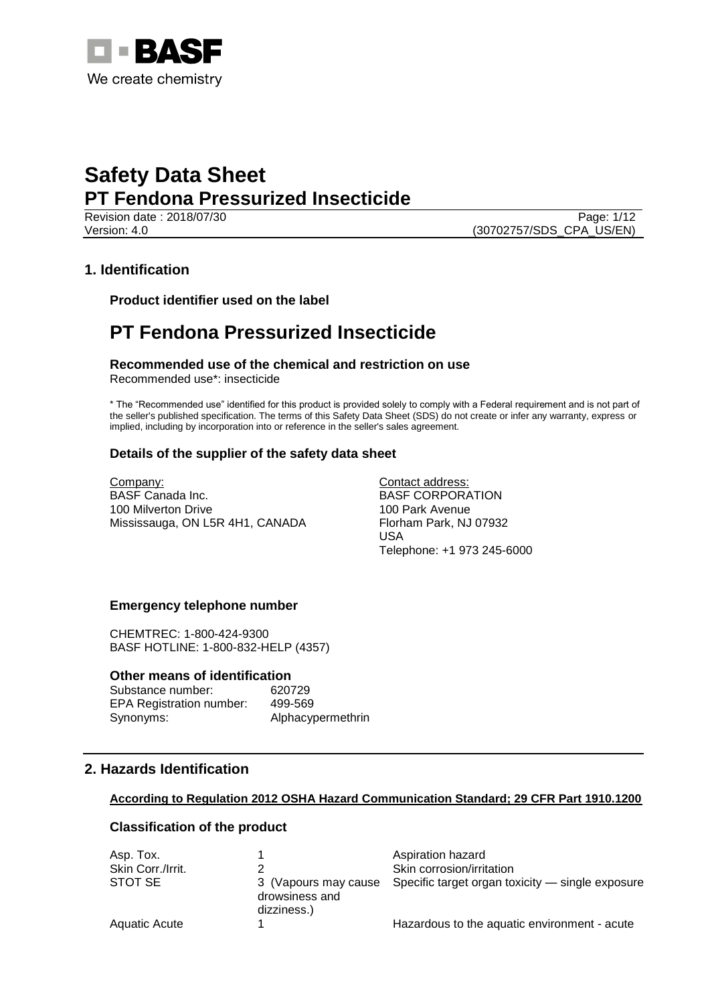

**Revision date : 2018/07/30** Page: 1/12 Version: 4.0 (30702757/SDS\_CPA\_US/EN)

## **1. Identification**

**Product identifier used on the label**

## **PT Fendona Pressurized Insecticide**

**Recommended use of the chemical and restriction on use** Recommended use\*: insecticide

\* The "Recommended use" identified for this product is provided solely to comply with a Federal requirement and is not part of the seller's published specification. The terms of this Safety Data Sheet (SDS) do not create or infer any warranty, express or implied, including by incorporation into or reference in the seller's sales agreement.

### **Details of the supplier of the safety data sheet**

Company: BASF Canada Inc. 100 Milverton Drive Mississauga, ON L5R 4H1, CANADA Contact address: BASF CORPORATION 100 Park Avenue Florham Park, NJ 07932 USA Telephone: +1 973 245-6000

### **Emergency telephone number**

CHEMTREC: 1-800-424-9300 BASF HOTLINE: 1-800-832-HELP (4357)

#### **Other means of identification**

Substance number: 620729 EPA Registration number: 499-569 Synonyms: Alphacypermethrin

### **2. Hazards Identification**

#### **According to Regulation 2012 OSHA Hazard Communication Standard; 29 CFR Part 1910.1200**

### **Classification of the product**

| Asp. Tox.            |                                                       | Aspiration hazard                                |
|----------------------|-------------------------------------------------------|--------------------------------------------------|
| Skin Corr./Irrit.    |                                                       | Skin corrosion/irritation                        |
| STOT SE              | 3 (Vapours may cause<br>drowsiness and<br>dizziness.) | Specific target organ toxicity — single exposure |
| <b>Aquatic Acute</b> |                                                       | Hazardous to the aquatic environment - acute     |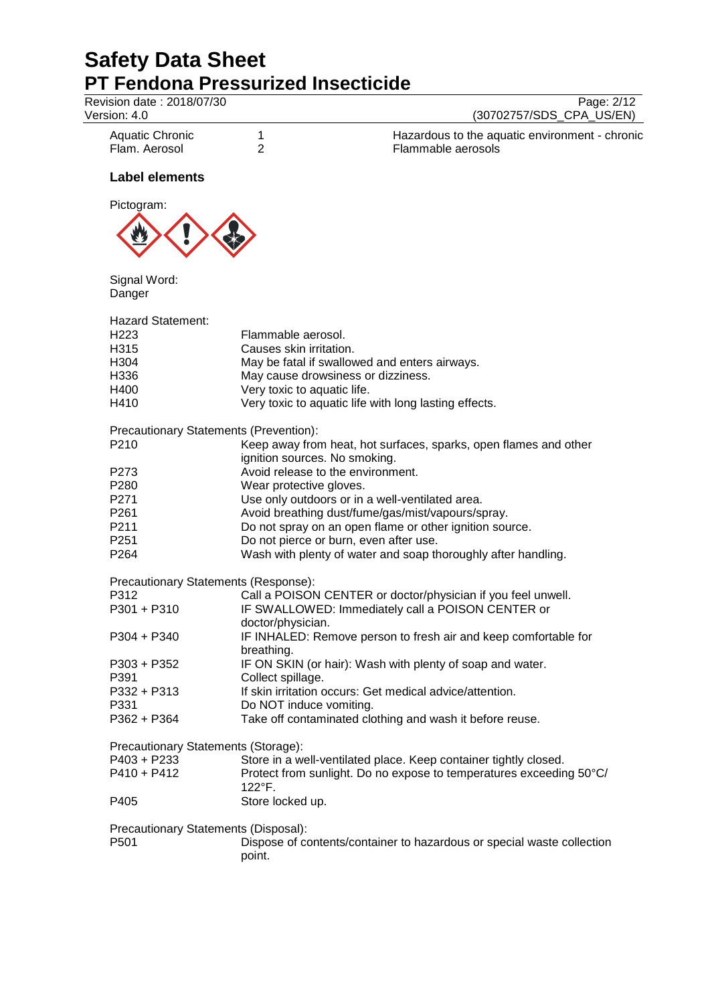| Revision date: 2018/07/30<br>Version: 4.0                                            |                                                                                                                    | Page: 2/12<br>(30702757/SDS_CPA_US/EN)                                                                                                                                                                                           |
|--------------------------------------------------------------------------------------|--------------------------------------------------------------------------------------------------------------------|----------------------------------------------------------------------------------------------------------------------------------------------------------------------------------------------------------------------------------|
| <b>Aquatic Chronic</b><br>Flam. Aerosol                                              | 1<br>$\overline{2}$                                                                                                | Hazardous to the aquatic environment - chronic<br>Flammable aerosols                                                                                                                                                             |
| <b>Label elements</b>                                                                |                                                                                                                    |                                                                                                                                                                                                                                  |
| Pictogram:                                                                           |                                                                                                                    |                                                                                                                                                                                                                                  |
| Signal Word:<br>Danger                                                               |                                                                                                                    |                                                                                                                                                                                                                                  |
| <b>Hazard Statement:</b><br>H <sub>223</sub><br>H315<br>H304<br>H336<br>H400<br>H410 | Flammable aerosol.<br>Causes skin irritation.<br>May cause drowsiness or dizziness.<br>Very toxic to aquatic life. | May be fatal if swallowed and enters airways.<br>Very toxic to aquatic life with long lasting effects.                                                                                                                           |
| Precautionary Statements (Prevention):<br>P210                                       | ignition sources. No smoking.                                                                                      | Keep away from heat, hot surfaces, sparks, open flames and other                                                                                                                                                                 |
| P273<br>P280<br>P271<br>P <sub>261</sub><br>P211<br>P <sub>251</sub><br>P264         | Avoid release to the environment.<br>Wear protective gloves.<br>Do not pierce or burn, even after use.             | Use only outdoors or in a well-ventilated area.<br>Avoid breathing dust/fume/gas/mist/vapours/spray.<br>Do not spray on an open flame or other ignition source.<br>Wash with plenty of water and soap thoroughly after handling. |
|                                                                                      |                                                                                                                    |                                                                                                                                                                                                                                  |
| Precautionary Statements (Response):<br>P312<br>$P301 + P310$<br>P304 + P340         | doctor/physician.                                                                                                  | Call a POISON CENTER or doctor/physician if you feel unwell.<br>IF SWALLOWED: Immediately call a POISON CENTER or<br>IF INHALED: Remove person to fresh air and keep comfortable for                                             |
| $P303 + P352$<br>P391<br>P332 + P313<br>P331<br>$P362 + P364$                        | breathing.<br>Collect spillage.<br>Do NOT induce vomiting.                                                         | IF ON SKIN (or hair): Wash with plenty of soap and water.<br>If skin irritation occurs: Get medical advice/attention.<br>Take off contaminated clothing and wash it before reuse.                                                |
| Precautionary Statements (Storage):<br>P403 + P233<br>$P410 + P412$<br>P405          | $122^{\circ}$ F.<br>Store locked up.                                                                               | Store in a well-ventilated place. Keep container tightly closed.<br>Protect from sunlight. Do no expose to temperatures exceeding 50°C/                                                                                          |
| Precautionary Statements (Disposal):<br>P501                                         | point.                                                                                                             | Dispose of contents/container to hazardous or special waste collection                                                                                                                                                           |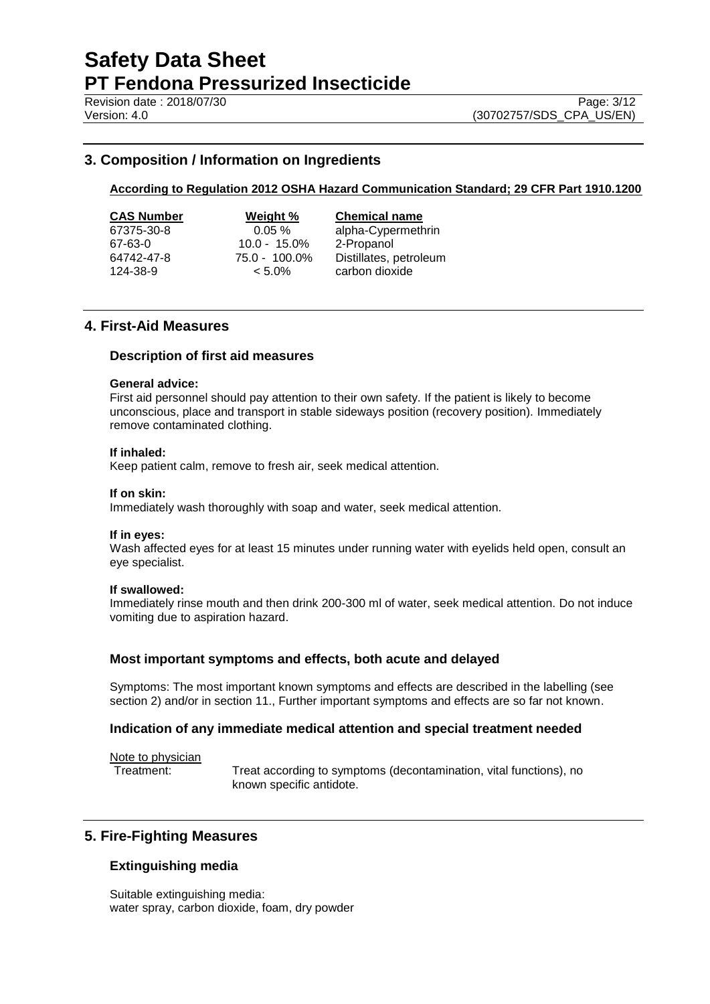## **3. Composition / Information on Ingredients**

#### **According to Regulation 2012 OSHA Hazard Communication Standard; 29 CFR Part 1910.1200**

| CAS Number |
|------------|
| 67375-30-8 |
| 67-63-0    |
| 64742-47-8 |
|            |

67-63-0 10.0 - 15.0% 2-Propanol

**Weight % Chemical name** 0.05 % alpha-Cypermethrin  $75.0 - 100.0\%$  Distillates, petroleum<br>  $\lt 5.0\%$  carbon dioxide 124-38-9 < 5.0% carbon dioxide

## **4. First-Aid Measures**

#### **Description of first aid measures**

#### **General advice:**

First aid personnel should pay attention to their own safety. If the patient is likely to become unconscious, place and transport in stable sideways position (recovery position). Immediately remove contaminated clothing.

#### **If inhaled:**

Keep patient calm, remove to fresh air, seek medical attention.

#### **If on skin:**

Immediately wash thoroughly with soap and water, seek medical attention.

#### **If in eyes:**

Wash affected eyes for at least 15 minutes under running water with eyelids held open, consult an eye specialist.

#### **If swallowed:**

Immediately rinse mouth and then drink 200-300 ml of water, seek medical attention. Do not induce vomiting due to aspiration hazard.

### **Most important symptoms and effects, both acute and delayed**

Symptoms: The most important known symptoms and effects are described in the labelling (see section 2) and/or in section 11., Further important symptoms and effects are so far not known.

### **Indication of any immediate medical attention and special treatment needed**

Note to physician

Treatment: Treat according to symptoms (decontamination, vital functions), no known specific antidote.

## **5. Fire-Fighting Measures**

### **Extinguishing media**

Suitable extinguishing media: water spray, carbon dioxide, foam, dry powder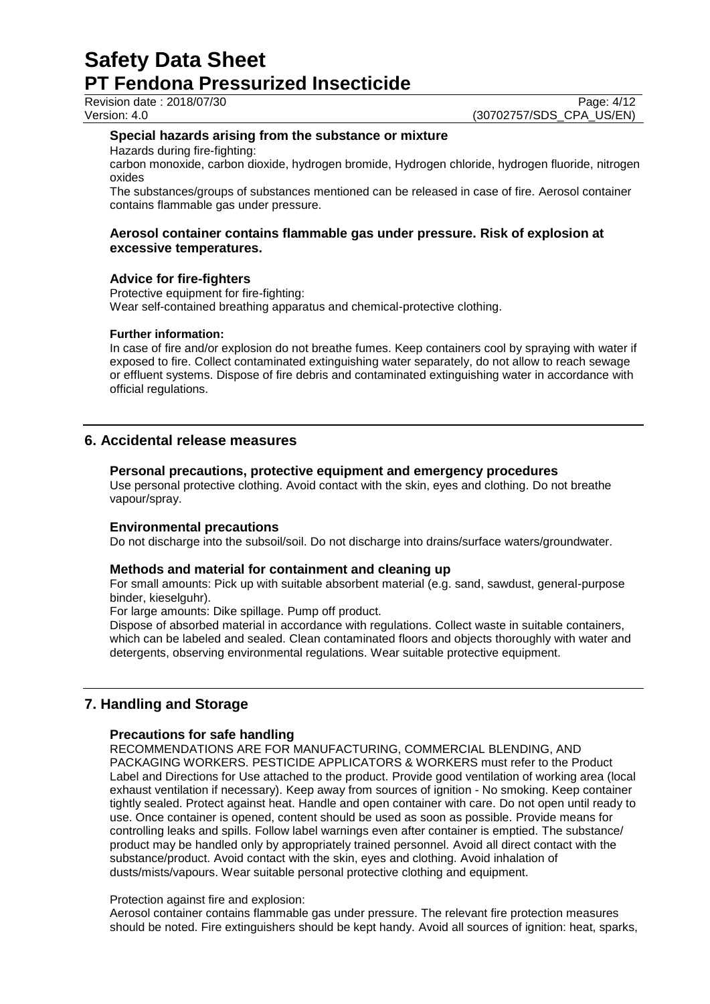Revision date : 2018/07/30

Version: 4.0 (30702757/SDS\_CPA\_US/EN)

#### **Special hazards arising from the substance or mixture**

Hazards during fire-fighting:

carbon monoxide, carbon dioxide, hydrogen bromide, Hydrogen chloride, hydrogen fluoride, nitrogen oxides

The substances/groups of substances mentioned can be released in case of fire. Aerosol container contains flammable gas under pressure.

#### **Aerosol container contains flammable gas under pressure. Risk of explosion at excessive temperatures.**

#### **Advice for fire-fighters**

Protective equipment for fire-fighting: Wear self-contained breathing apparatus and chemical-protective clothing.

#### **Further information:**

In case of fire and/or explosion do not breathe fumes. Keep containers cool by spraying with water if exposed to fire. Collect contaminated extinguishing water separately, do not allow to reach sewage or effluent systems. Dispose of fire debris and contaminated extinguishing water in accordance with official regulations.

## **6. Accidental release measures**

#### **Personal precautions, protective equipment and emergency procedures**

Use personal protective clothing. Avoid contact with the skin, eyes and clothing. Do not breathe vapour/spray.

#### **Environmental precautions**

Do not discharge into the subsoil/soil. Do not discharge into drains/surface waters/groundwater.

#### **Methods and material for containment and cleaning up**

For small amounts: Pick up with suitable absorbent material (e.g. sand, sawdust, general-purpose binder, kieselguhr).

For large amounts: Dike spillage. Pump off product.

Dispose of absorbed material in accordance with regulations. Collect waste in suitable containers, which can be labeled and sealed. Clean contaminated floors and objects thoroughly with water and detergents, observing environmental regulations. Wear suitable protective equipment.

## **7. Handling and Storage**

#### **Precautions for safe handling**

RECOMMENDATIONS ARE FOR MANUFACTURING, COMMERCIAL BLENDING, AND PACKAGING WORKERS. PESTICIDE APPLICATORS & WORKERS must refer to the Product Label and Directions for Use attached to the product. Provide good ventilation of working area (local exhaust ventilation if necessary). Keep away from sources of ignition - No smoking. Keep container tightly sealed. Protect against heat. Handle and open container with care. Do not open until ready to use. Once container is opened, content should be used as soon as possible. Provide means for controlling leaks and spills. Follow label warnings even after container is emptied. The substance/ product may be handled only by appropriately trained personnel. Avoid all direct contact with the substance/product. Avoid contact with the skin, eyes and clothing. Avoid inhalation of dusts/mists/vapours. Wear suitable personal protective clothing and equipment.

#### Protection against fire and explosion:

Aerosol container contains flammable gas under pressure. The relevant fire protection measures should be noted. Fire extinguishers should be kept handy. Avoid all sources of ignition: heat, sparks,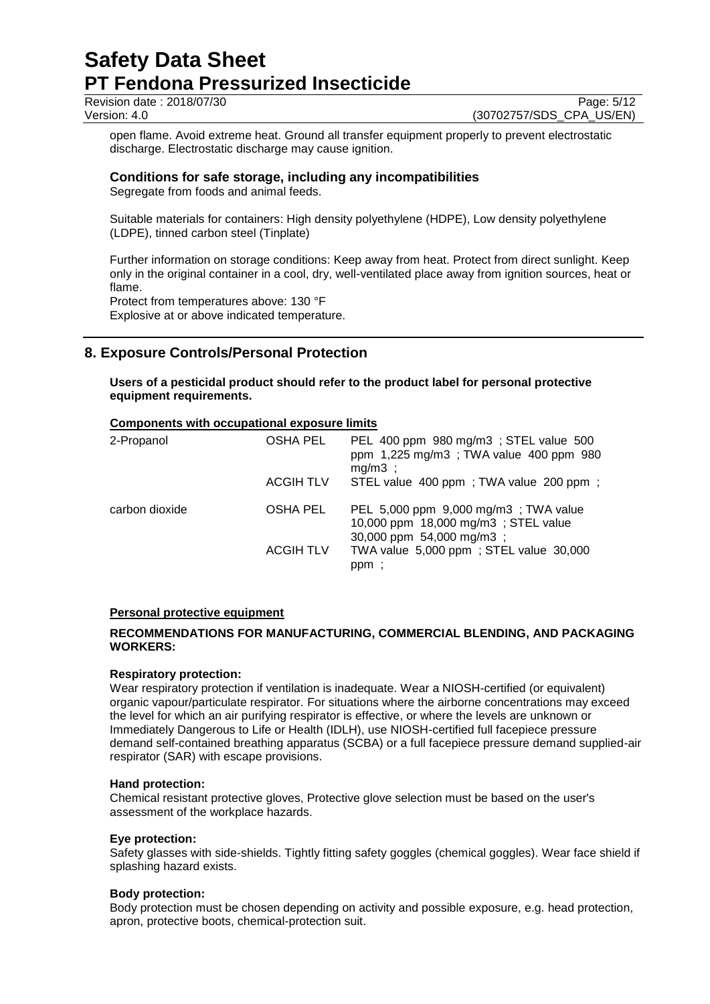Revision date : 2018/07/30 Page: 5/12<br>Version: 4.0 (30702757/SDS CPA US/EN)

(30702757/SDS\_CPA\_US/EN)

open flame. Avoid extreme heat. Ground all transfer equipment properly to prevent electrostatic discharge. Electrostatic discharge may cause ignition.

## **Conditions for safe storage, including any incompatibilities**

Segregate from foods and animal feeds.

Suitable materials for containers: High density polyethylene (HDPE), Low density polyethylene (LDPE), tinned carbon steel (Tinplate)

Further information on storage conditions: Keep away from heat. Protect from direct sunlight. Keep only in the original container in a cool, dry, well-ventilated place away from ignition sources, heat or flame.

Protect from temperatures above: 130 °F Explosive at or above indicated temperature.

## **8. Exposure Controls/Personal Protection**

**Users of a pesticidal product should refer to the product label for personal protective equipment requirements.**

## **Components with occupational exposure limits**

| 2-Propanol     | <b>OSHA PEL</b>  | PEL 400 ppm 980 mg/m3 ; STEL value 500<br>ppm 1,225 mg/m3; TWA value 400 ppm 980<br>$mg/m3$ ;            |
|----------------|------------------|----------------------------------------------------------------------------------------------------------|
|                | <b>ACGIH TLV</b> | STEL value 400 ppm; TWA value 200 ppm;                                                                   |
| carbon dioxide | OSHA PEL         | PEL 5,000 ppm 9,000 mg/m3; TWA value<br>10,000 ppm 18,000 mg/m3; STEL value<br>30,000 ppm 54,000 mg/m3 ; |
|                | <b>ACGIH TLV</b> | TWA value 5,000 ppm; STEL value 30,000<br>ppm;                                                           |

#### **Personal protective equipment**

#### **RECOMMENDATIONS FOR MANUFACTURING, COMMERCIAL BLENDING, AND PACKAGING WORKERS:**

#### **Respiratory protection:**

Wear respiratory protection if ventilation is inadequate. Wear a NIOSH-certified (or equivalent) organic vapour/particulate respirator. For situations where the airborne concentrations may exceed the level for which an air purifying respirator is effective, or where the levels are unknown or Immediately Dangerous to Life or Health (IDLH), use NIOSH-certified full facepiece pressure demand self-contained breathing apparatus (SCBA) or a full facepiece pressure demand supplied-air respirator (SAR) with escape provisions.

#### **Hand protection:**

Chemical resistant protective gloves, Protective glove selection must be based on the user's assessment of the workplace hazards.

#### **Eye protection:**

Safety glasses with side-shields. Tightly fitting safety goggles (chemical goggles). Wear face shield if splashing hazard exists.

#### **Body protection:**

Body protection must be chosen depending on activity and possible exposure, e.g. head protection, apron, protective boots, chemical-protection suit.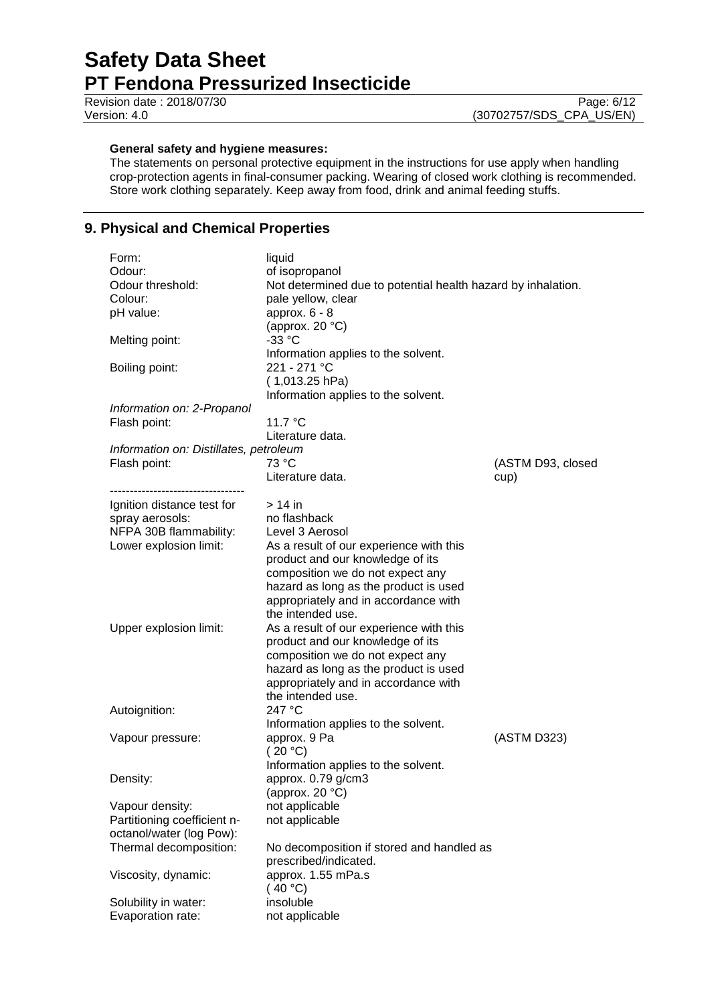Revision date : 2018/07/30 Page: 6/12<br>Version: 4.0 (30702757/SDS\_CPA\_US/EN) (30702757/SDS\_CPA\_US/EN)

## **General safety and hygiene measures:**

The statements on personal protective equipment in the instructions for use apply when handling crop-protection agents in final-consumer packing. Wearing of closed work clothing is recommended. Store work clothing separately. Keep away from food, drink and animal feeding stuffs.

## **9. Physical and Chemical Properties**

| Form:                                  | liquid                                                             |                   |
|----------------------------------------|--------------------------------------------------------------------|-------------------|
| Odour:                                 | of isopropanol                                                     |                   |
| Odour threshold:                       | Not determined due to potential health hazard by inhalation.       |                   |
| Colour:                                | pale yellow, clear                                                 |                   |
| pH value:                              | approx. $6 - 8$                                                    |                   |
|                                        | (approx. $20 °C$ )                                                 |                   |
| Melting point:                         | $-33 °C$                                                           |                   |
|                                        | Information applies to the solvent.                                |                   |
| Boiling point:                         | 221 - 271 °C                                                       |                   |
|                                        | $(1,013.25$ hPa)                                                   |                   |
|                                        | Information applies to the solvent.                                |                   |
| Information on: 2-Propanol             |                                                                    |                   |
| Flash point:                           | 11.7 °C                                                            |                   |
|                                        | Literature data.                                                   |                   |
| Information on: Distillates, petroleum |                                                                    |                   |
| Flash point:                           | 73 °C                                                              | (ASTM D93, closed |
|                                        | Literature data.                                                   | cup)              |
| -----------------------------          |                                                                    |                   |
| Ignition distance test for             | $>14$ in                                                           |                   |
| spray aerosols:                        | no flashback                                                       |                   |
| NFPA 30B flammability:                 | Level 3 Aerosol                                                    |                   |
| Lower explosion limit:                 | As a result of our experience with this                            |                   |
|                                        | product and our knowledge of its                                   |                   |
|                                        | composition we do not expect any                                   |                   |
|                                        | hazard as long as the product is used                              |                   |
|                                        | appropriately and in accordance with                               |                   |
|                                        | the intended use.                                                  |                   |
| Upper explosion limit:                 | As a result of our experience with this                            |                   |
|                                        | product and our knowledge of its                                   |                   |
|                                        | composition we do not expect any                                   |                   |
|                                        | hazard as long as the product is used                              |                   |
|                                        | appropriately and in accordance with                               |                   |
|                                        | the intended use.                                                  |                   |
| Autoignition:                          | 247 °C                                                             |                   |
|                                        | Information applies to the solvent.                                |                   |
| Vapour pressure:                       | approx. 9 Pa                                                       | (ASTM D323)       |
|                                        | (20 °C)                                                            |                   |
|                                        | Information applies to the solvent.                                |                   |
| Density:                               | approx. 0.79 g/cm3                                                 |                   |
|                                        | (approx. 20 $°C$ )                                                 |                   |
| Vapour density:                        | not applicable                                                     |                   |
| Partitioning coefficient n-            | not applicable                                                     |                   |
| octanol/water (log Pow):               |                                                                    |                   |
| Thermal decomposition:                 | No decomposition if stored and handled as<br>prescribed/indicated. |                   |
| Viscosity, dynamic:                    | approx. 1.55 mPa.s                                                 |                   |
|                                        | (40 °C)                                                            |                   |
| Solubility in water:                   | insoluble                                                          |                   |
| Evaporation rate:                      | not applicable                                                     |                   |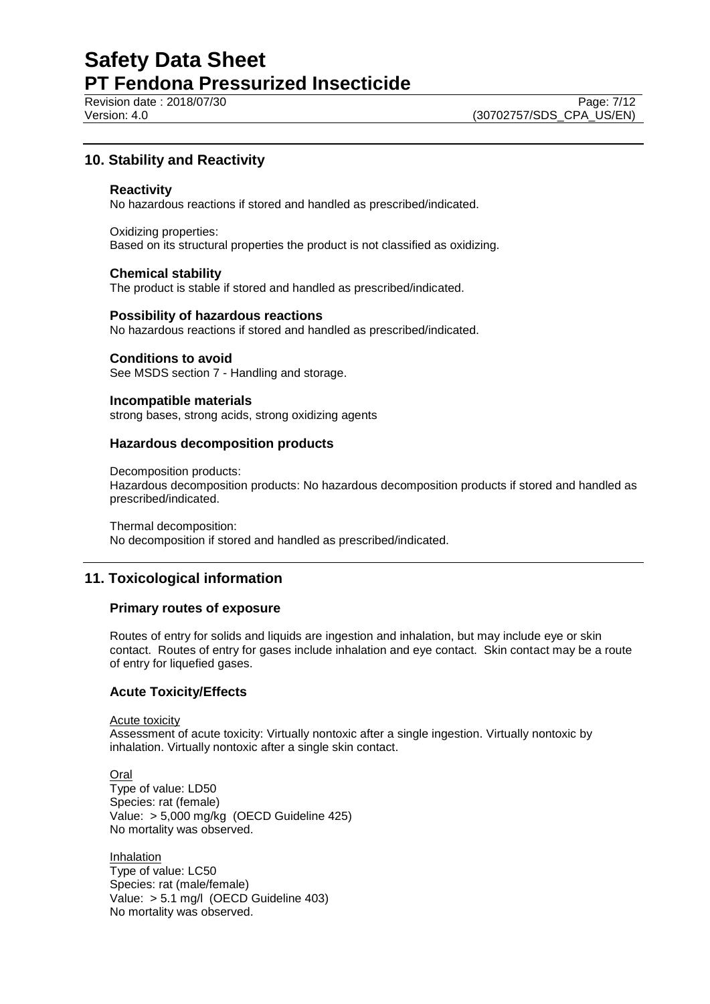**Revision date : 2018/07/30** Page: 7/12

## **10. Stability and Reactivity**

#### **Reactivity**

No hazardous reactions if stored and handled as prescribed/indicated.

Oxidizing properties: Based on its structural properties the product is not classified as oxidizing.

#### **Chemical stability**

The product is stable if stored and handled as prescribed/indicated.

#### **Possibility of hazardous reactions**

No hazardous reactions if stored and handled as prescribed/indicated.

#### **Conditions to avoid**

See MSDS section 7 - Handling and storage.

#### **Incompatible materials**

strong bases, strong acids, strong oxidizing agents

#### **Hazardous decomposition products**

Decomposition products:

Hazardous decomposition products: No hazardous decomposition products if stored and handled as prescribed/indicated.

Thermal decomposition: No decomposition if stored and handled as prescribed/indicated.

## **11. Toxicological information**

#### **Primary routes of exposure**

Routes of entry for solids and liquids are ingestion and inhalation, but may include eye or skin contact. Routes of entry for gases include inhalation and eye contact. Skin contact may be a route of entry for liquefied gases.

#### **Acute Toxicity/Effects**

Acute toxicity

Assessment of acute toxicity: Virtually nontoxic after a single ingestion. Virtually nontoxic by inhalation. Virtually nontoxic after a single skin contact.

Oral Type of value: LD50 Species: rat (female) Value: > 5,000 mg/kg (OECD Guideline 425) No mortality was observed.

Inhalation Type of value: LC50 Species: rat (male/female) Value: > 5.1 mg/l (OECD Guideline 403) No mortality was observed.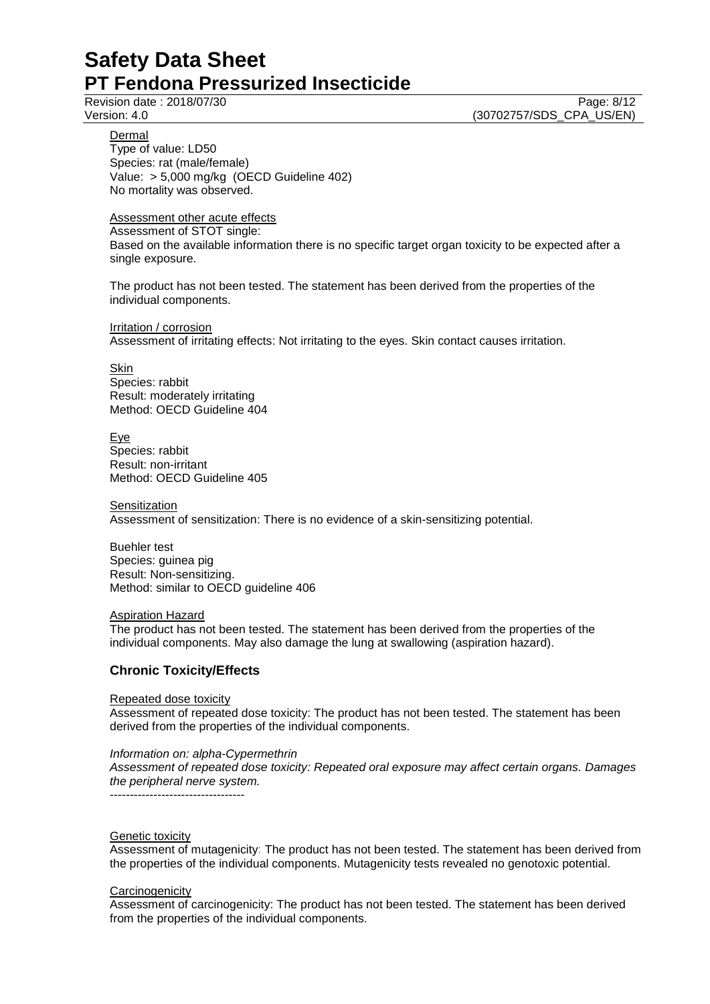## Revision date : 2018/07/30

Version: 4.0 (30702757/SDS\_CPA\_US/EN)

**Dermal** 

Type of value: LD50 Species: rat (male/female) Value: > 5,000 mg/kg (OECD Guideline 402) No mortality was observed.

## Assessment other acute effects

Assessment of STOT single: Based on the available information there is no specific target organ toxicity to be expected after a single exposure.

The product has not been tested. The statement has been derived from the properties of the individual components.

Irritation / corrosion Assessment of irritating effects: Not irritating to the eyes. Skin contact causes irritation.

**Skin** Species: rabbit Result: moderately irritating Method: OECD Guideline 404

Eye Species: rabbit Result: non-irritant Method: OECD Guideline 405

**Sensitization** Assessment of sensitization: There is no evidence of a skin-sensitizing potential.

Buehler test Species: guinea pig Result: Non-sensitizing. Method: similar to OECD guideline 406

### Aspiration Hazard

The product has not been tested. The statement has been derived from the properties of the individual components. May also damage the lung at swallowing (aspiration hazard).

## **Chronic Toxicity/Effects**

#### Repeated dose toxicity

Assessment of repeated dose toxicity: The product has not been tested. The statement has been derived from the properties of the individual components.

### *Information on: alpha-Cypermethrin*

*Assessment of repeated dose toxicity: Repeated oral exposure may affect certain organs. Damages the peripheral nerve system.*

----------------------------------

#### Genetic toxicity

Assessment of mutagenicity: The product has not been tested. The statement has been derived from the properties of the individual components. Mutagenicity tests revealed no genotoxic potential.

### **Carcinogenicity**

Assessment of carcinogenicity: The product has not been tested. The statement has been derived from the properties of the individual components.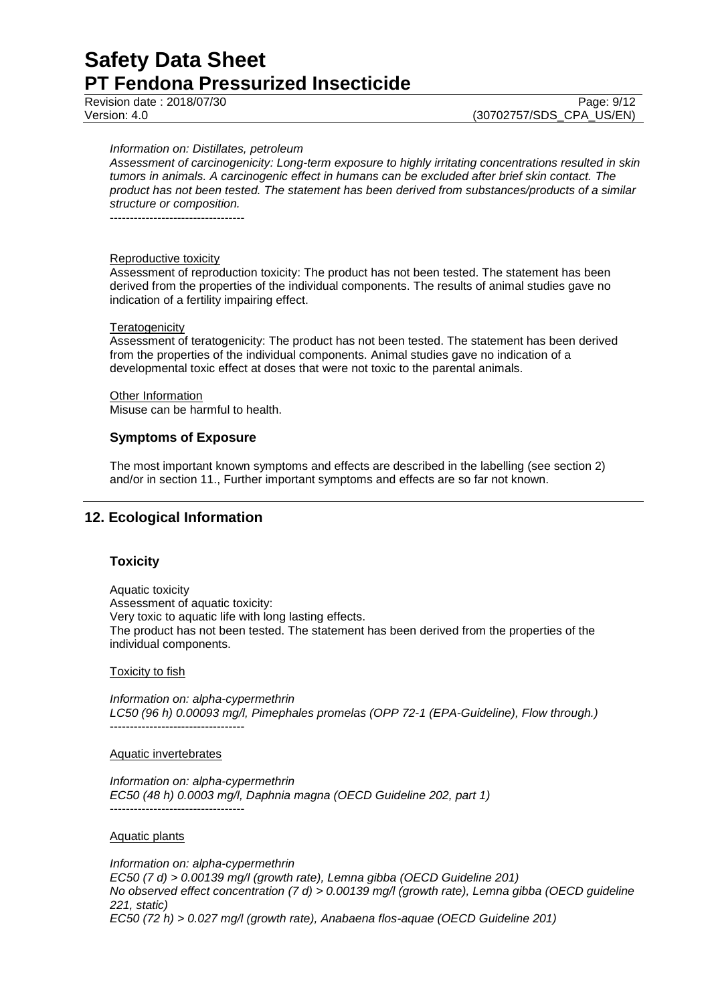Revision date : 2018/07/30 **Page: 9/12** Page: 9/12

Version: 4.0 (30702757/SDS\_CPA\_US/EN)

#### *Information on: Distillates, petroleum*

*Assessment of carcinogenicity: Long-term exposure to highly irritating concentrations resulted in skin tumors in animals. A carcinogenic effect in humans can be excluded after brief skin contact. The product has not been tested. The statement has been derived from substances/products of a similar structure or composition.*

----------------------------------

#### Reproductive toxicity

Assessment of reproduction toxicity: The product has not been tested. The statement has been derived from the properties of the individual components. The results of animal studies gave no indication of a fertility impairing effect.

#### **Teratogenicity**

Assessment of teratogenicity: The product has not been tested. The statement has been derived from the properties of the individual components. Animal studies gave no indication of a developmental toxic effect at doses that were not toxic to the parental animals.

**Other Information** Misuse can be harmful to health.

#### **Symptoms of Exposure**

The most important known symptoms and effects are described in the labelling (see section 2) and/or in section 11., Further important symptoms and effects are so far not known.

## **12. Ecological Information**

### **Toxicity**

Aquatic toxicity Assessment of aquatic toxicity: Very toxic to aquatic life with long lasting effects. The product has not been tested. The statement has been derived from the properties of the individual components.

#### **Toxicity to fish**

*Information on: alpha-cypermethrin LC50 (96 h) 0.00093 mg/l, Pimephales promelas (OPP 72-1 (EPA-Guideline), Flow through.)* ----------------------------------

#### Aquatic invertebrates

*Information on: alpha-cypermethrin EC50 (48 h) 0.0003 mg/l, Daphnia magna (OECD Guideline 202, part 1)* ----------------------------------

#### Aquatic plants

*Information on: alpha-cypermethrin EC50 (7 d) > 0.00139 mg/l (growth rate), Lemna gibba (OECD Guideline 201) No observed effect concentration (7 d) > 0.00139 mg/l (growth rate), Lemna gibba (OECD guideline 221, static) EC50 (72 h) > 0.027 mg/l (growth rate), Anabaena flos-aquae (OECD Guideline 201)*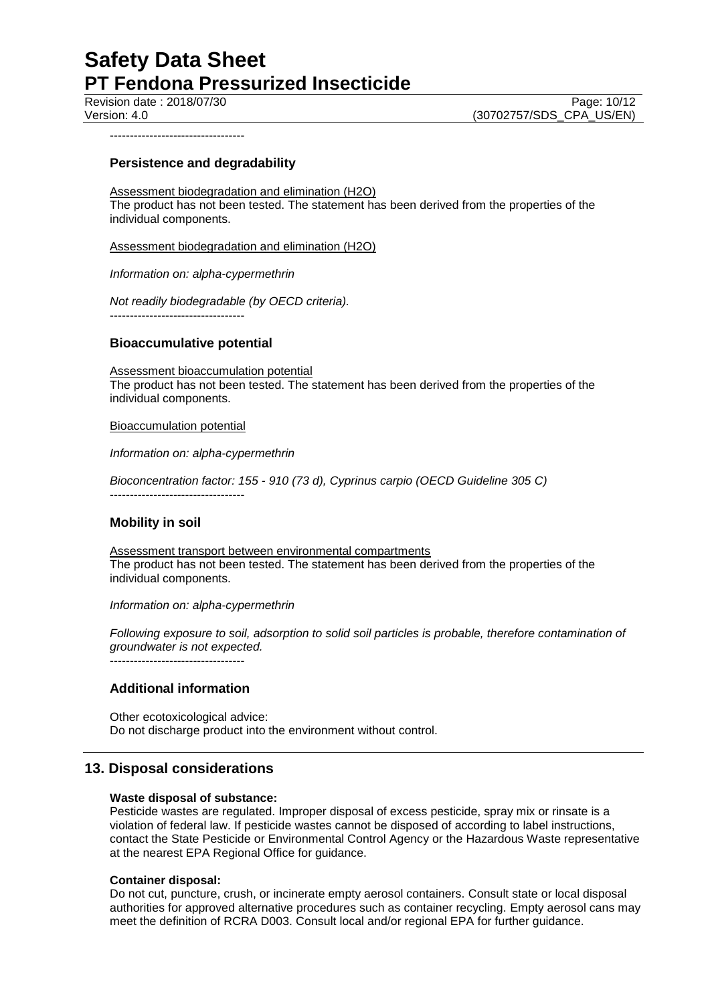Revision date : 2018/07/30 Page: 10/12

# Version: 4.0 (30702757/SDS\_CPA\_US/EN)

----------------------------------

### **Persistence and degradability**

Assessment biodegradation and elimination (H2O) The product has not been tested. The statement has been derived from the properties of the individual components.

Assessment biodegradation and elimination (H2O)

*Information on: alpha-cypermethrin*

*Not readily biodegradable (by OECD criteria).* ----------------------------------

### **Bioaccumulative potential**

Assessment bioaccumulation potential The product has not been tested. The statement has been derived from the properties of the individual components.

Bioaccumulation potential

*Information on: alpha-cypermethrin*

*Bioconcentration factor: 155 - 910 (73 d), Cyprinus carpio (OECD Guideline 305 C)*

----------------------------------

### **Mobility in soil**

Assessment transport between environmental compartments The product has not been tested. The statement has been derived from the properties of the individual components.

*Information on: alpha-cypermethrin*

*Following exposure to soil, adsorption to solid soil particles is probable, therefore contamination of groundwater is not expected.*

----------------------------------

## **Additional information**

Other ecotoxicological advice: Do not discharge product into the environment without control.

## **13. Disposal considerations**

### **Waste disposal of substance:**

Pesticide wastes are regulated. Improper disposal of excess pesticide, spray mix or rinsate is a violation of federal law. If pesticide wastes cannot be disposed of according to label instructions, contact the State Pesticide or Environmental Control Agency or the Hazardous Waste representative at the nearest EPA Regional Office for guidance.

### **Container disposal:**

Do not cut, puncture, crush, or incinerate empty aerosol containers. Consult state or local disposal authorities for approved alternative procedures such as container recycling. Empty aerosol cans may meet the definition of RCRA D003. Consult local and/or regional EPA for further guidance.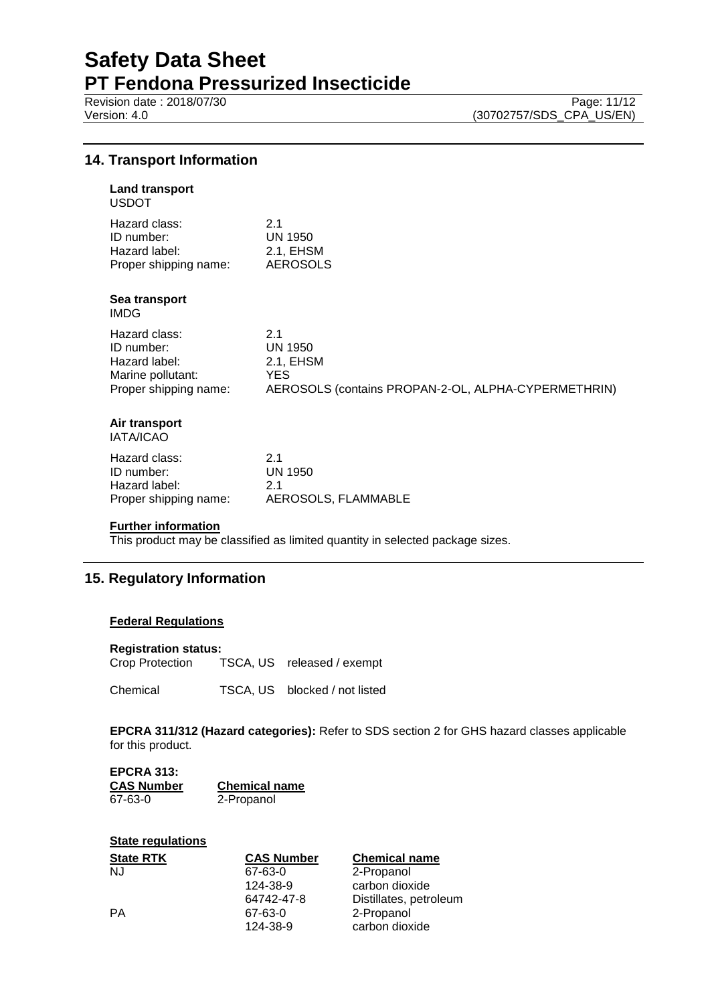Revision date : 2018/07/30 Page: 11/12<br>Version: 4.0 (30702757/SDS\_CPA\_US/EN)

(30702757/SDS\_CPA\_US/EN)

## **14. Transport Information**

## **Land transport** USDOT Hazard class: 2.1 ID number: UN 1950 Hazard label: 2.1, EHSM<br>Proper shipping name: 2.1, EHSM Proper shipping name: **Sea transport** IMDG Hazard class: 2.1 ID number: UN 1950 Hazard label: 2.1, EHSM<br>
Marine pollutant: YES Marine pollutant:<br>Proper shipping name: AEROSOLS (contains PROPAN-2-OL, ALPHA-CYPERMETHRIN)

#### **Air transport** IATA/ICAO

| Hazard class:         | 21                  |
|-----------------------|---------------------|
| ID number:            | UN 1950             |
| Hazard label:         | 21                  |
| Proper shipping name: | AEROSOLS, FLAMMABLE |
|                       |                     |

#### **Further information**

This product may be classified as limited quantity in selected package sizes.

## **15. Regulatory Information**

#### **Federal Regulations**

#### **Registration status:**

Crop Protection TSCA, US released / exempt

Chemical TSCA, US blocked / not listed

**EPCRA 311/312 (Hazard categories):** Refer to SDS section 2 for GHS hazard classes applicable for this product.

| <b>EPCRA 313:</b> |                      |
|-------------------|----------------------|
| CAS Number        | <b>Chemical name</b> |
| 67-63-0           | 2-Propanol           |

| <b>State regulations</b> |                   |                        |
|--------------------------|-------------------|------------------------|
| <b>State RTK</b>         | <b>CAS Number</b> | <b>Chemical name</b>   |
| NJ                       | 67-63-0           | 2-Propanol             |
|                          | 124-38-9          | carbon dioxide         |
|                          | 64742-47-8        | Distillates, petroleum |
| PA                       | 67-63-0           | 2-Propanol             |
|                          | 124-38-9          | carbon dioxide         |